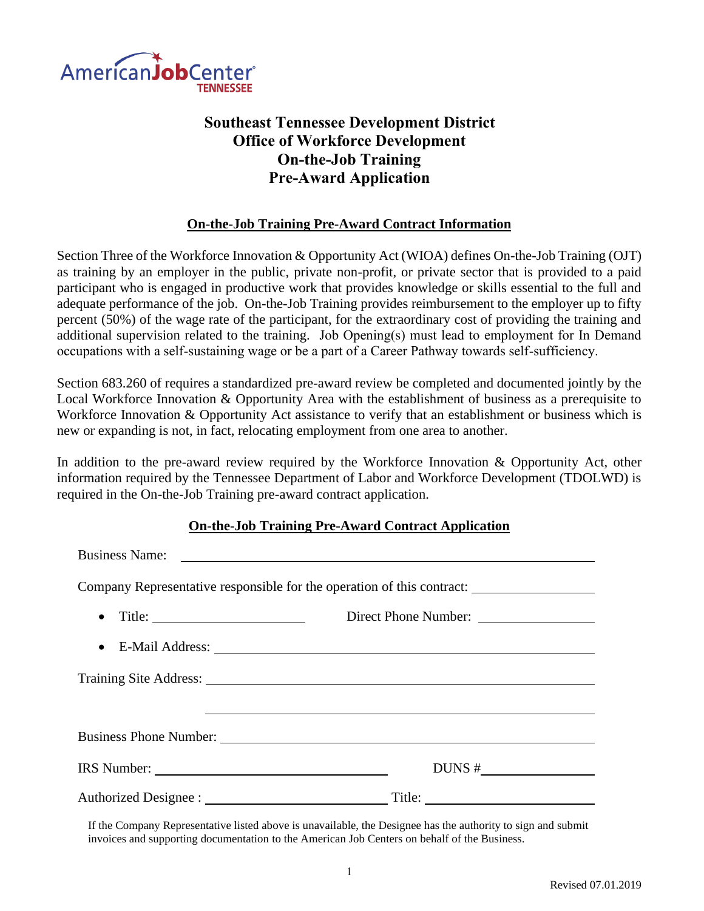

# **Southeast Tennessee Development District Office of Workforce Development On-the-Job Training Pre-Award Application**

#### **On-the-Job Training Pre-Award Contract Information**

Section Three of the Workforce Innovation & Opportunity Act (WIOA) defines On-the-Job Training (OJT) as training by an employer in the public, private non-profit, or private sector that is provided to a paid participant who is engaged in productive work that provides knowledge or skills essential to the full and adequate performance of the job. On-the-Job Training provides reimbursement to the employer up to fifty percent (50%) of the wage rate of the participant, for the extraordinary cost of providing the training and additional supervision related to the training. Job Opening(s) must lead to employment for In Demand occupations with a self-sustaining wage or be a part of a Career Pathway towards self-sufficiency.

Section 683.260 of requires a standardized pre-award review be completed and documented jointly by the Local Workforce Innovation & Opportunity Area with the establishment of business as a prerequisite to Workforce Innovation & Opportunity Act assistance to verify that an establishment or business which is new or expanding is not, in fact, relocating employment from one area to another.

In addition to the pre-award review required by the Workforce Innovation & Opportunity Act, other information required by the Tennessee Department of Labor and Workforce Development (TDOLWD) is required in the On-the-Job Training pre-award contract application.

#### **On-the-Job Training Pre-Award Contract Application**

| Company Representative responsible for the operation of this contract: |                        |  |  |  |  |
|------------------------------------------------------------------------|------------------------|--|--|--|--|
|                                                                        | Direct Phone Number:   |  |  |  |  |
|                                                                        |                        |  |  |  |  |
|                                                                        |                        |  |  |  |  |
|                                                                        |                        |  |  |  |  |
|                                                                        |                        |  |  |  |  |
| IRS Number:                                                            |                        |  |  |  |  |
|                                                                        | Title: $\qquad \qquad$ |  |  |  |  |

If the Company Representative listed above is unavailable, the Designee has the authority to sign and submit invoices and supporting documentation to the American Job Centers on behalf of the Business.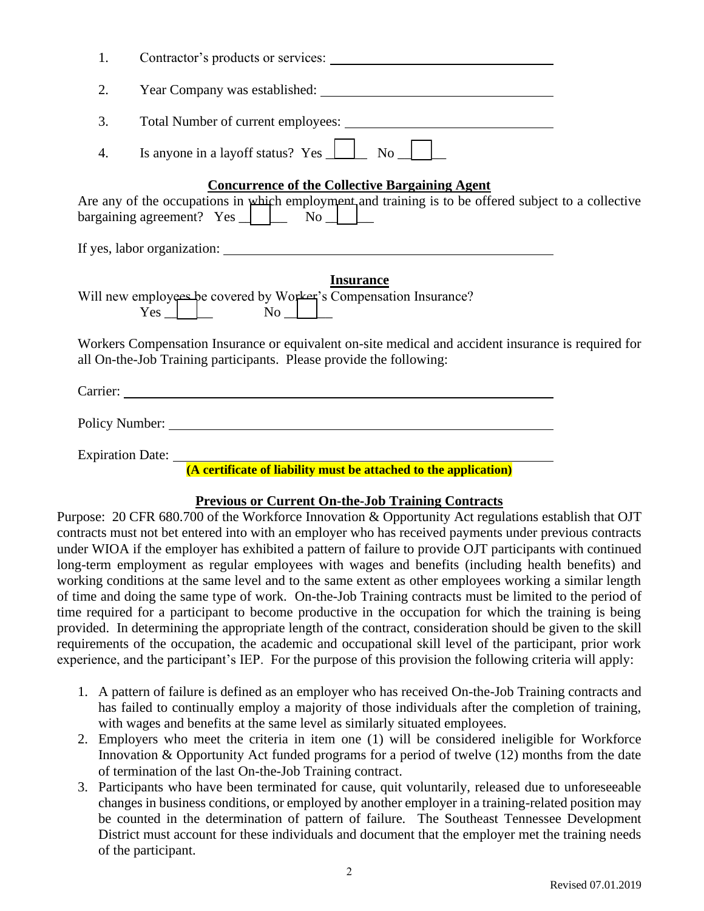| Contractor's products or services:<br>1.                                                                                                                                                                                       |  |
|--------------------------------------------------------------------------------------------------------------------------------------------------------------------------------------------------------------------------------|--|
| 2.                                                                                                                                                                                                                             |  |
| 3.                                                                                                                                                                                                                             |  |
| 4.                                                                                                                                                                                                                             |  |
| <b>Concurrence of the Collective Bargaining Agent</b><br>Are any of the occupations in which employment and training is to be offered subject to a collective<br>bargaining agreement? $Yes \_$ $\_$ No $\_$                   |  |
|                                                                                                                                                                                                                                |  |
| <b>Insurance</b><br>Will new employees be covered by Worker's Compensation Insurance?<br>$Yes$ $\Box$<br>$\overline{\text{No}}$ $\Box$                                                                                         |  |
| Workers Compensation Insurance or equivalent on-site medical and accident insurance is required for<br>all On-the-Job Training participants. Please provide the following:                                                     |  |
|                                                                                                                                                                                                                                |  |
| Policy Number: 2008. [2016] Policy Number: 2016. [2016] Policy Number: 2016. [2016] Policy Number: 2016. [2016] Policy Number: 2016. [2016] Policy Number: 2016. [2016] Policy Number: 2016. [2016] Policy Number: 2016. [2016 |  |
| Expiration Date: <u>(A certificate of liability must be attached to the application</u>                                                                                                                                        |  |

## **Previous or Current On-the-Job Training Contracts**

Purpose: 20 CFR 680.700 of the Workforce Innovation & Opportunity Act regulations establish that OJT contracts must not bet entered into with an employer who has received payments under previous contracts under WIOA if the employer has exhibited a pattern of failure to provide OJT participants with continued long-term employment as regular employees with wages and benefits (including health benefits) and working conditions at the same level and to the same extent as other employees working a similar length of time and doing the same type of work. On-the-Job Training contracts must be limited to the period of time required for a participant to become productive in the occupation for which the training is being provided. In determining the appropriate length of the contract, consideration should be given to the skill requirements of the occupation, the academic and occupational skill level of the participant, prior work experience, and the participant's IEP. For the purpose of this provision the following criteria will apply:

- 1. A pattern of failure is defined as an employer who has received On-the-Job Training contracts and has failed to continually employ a majority of those individuals after the completion of training, with wages and benefits at the same level as similarly situated employees.
- 2. Employers who meet the criteria in item one (1) will be considered ineligible for Workforce Innovation & Opportunity Act funded programs for a period of twelve (12) months from the date of termination of the last On-the-Job Training contract.
- 3. Participants who have been terminated for cause, quit voluntarily, released due to unforeseeable changes in business conditions, or employed by another employer in a training-related position may be counted in the determination of pattern of failure. The Southeast Tennessee Development District must account for these individuals and document that the employer met the training needs of the participant.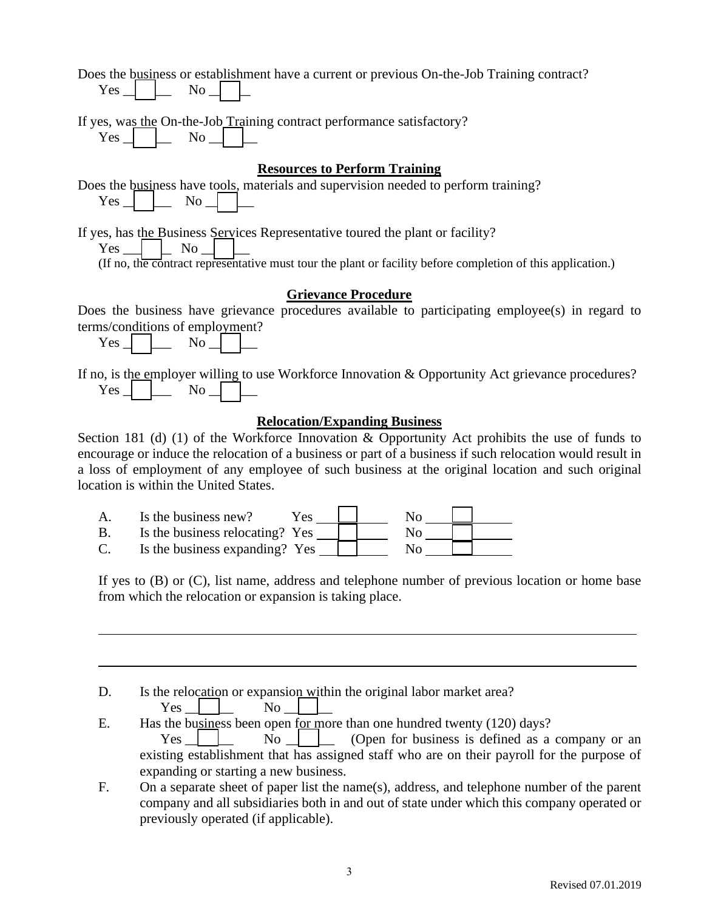| Does the business or establishment have a current or previous On-the-Job Training contract?<br>$Yes \perp \perp No \perp \perp$      |
|--------------------------------------------------------------------------------------------------------------------------------------|
| If yes, was the On-the-Job Training contract performance satisfactory?<br>$Yes \_$<br>$\overline{N_0}$                               |
| <b>Resources to Perform Training</b>                                                                                                 |
| Does the business have tools, materials and supervision needed to perform training?<br>$Yes \perp \perp No \perp \perp$              |
| If yes, has the Business Services Representative toured the plant or facility?                                                       |
| $Yes \_$ $\_$ No $\_$<br>(If no, the contract representative must tour the plant or facility before completion of this application.) |
| <b>Grievance Procedure</b>                                                                                                           |
| Does the business have grievance procedures available to participating employee(s) in regard to                                      |
| terms/conditions of employment?                                                                                                      |
| $Yes \perp \perp No \perp \perp$                                                                                                     |
|                                                                                                                                      |
| If no, is the employer willing to use Workforce Innovation & Opportunity Act grievance procedures?<br>No<br>Yes                      |

### **Relocation/Expanding Business**

Section 181 (d) (1) of the Workforce Innovation & Opportunity Act prohibits the use of funds to encourage or induce the relocation of a business or part of a business if such relocation would result in a loss of employment of any employee of such business at the original location and such original location is within the United States.

| Is the business new?            | Y es |  |  |
|---------------------------------|------|--|--|
| Is the business relocating? Yes |      |  |  |
| Is the business expanding? Yes  |      |  |  |

If yes to (B) or (C), list name, address and telephone number of previous location or home base from which the relocation or expansion is taking place.

D. Is the relocation or expansion within the original labor market area?

Yes  $\overline{\phantom{a}}$  No

E. Has the business been open for more than one hundred twenty  $(120)$  days?

 $Yes$   $\Box$  No  $\Box$  (Open for business is defined as a company or an existing establishment that has assigned staff who are on their payroll for the purpose of expanding or starting a new business.

F. On a separate sheet of paper list the name(s), address, and telephone number of the parent company and all subsidiaries both in and out of state under which this company operated or previously operated (if applicable).